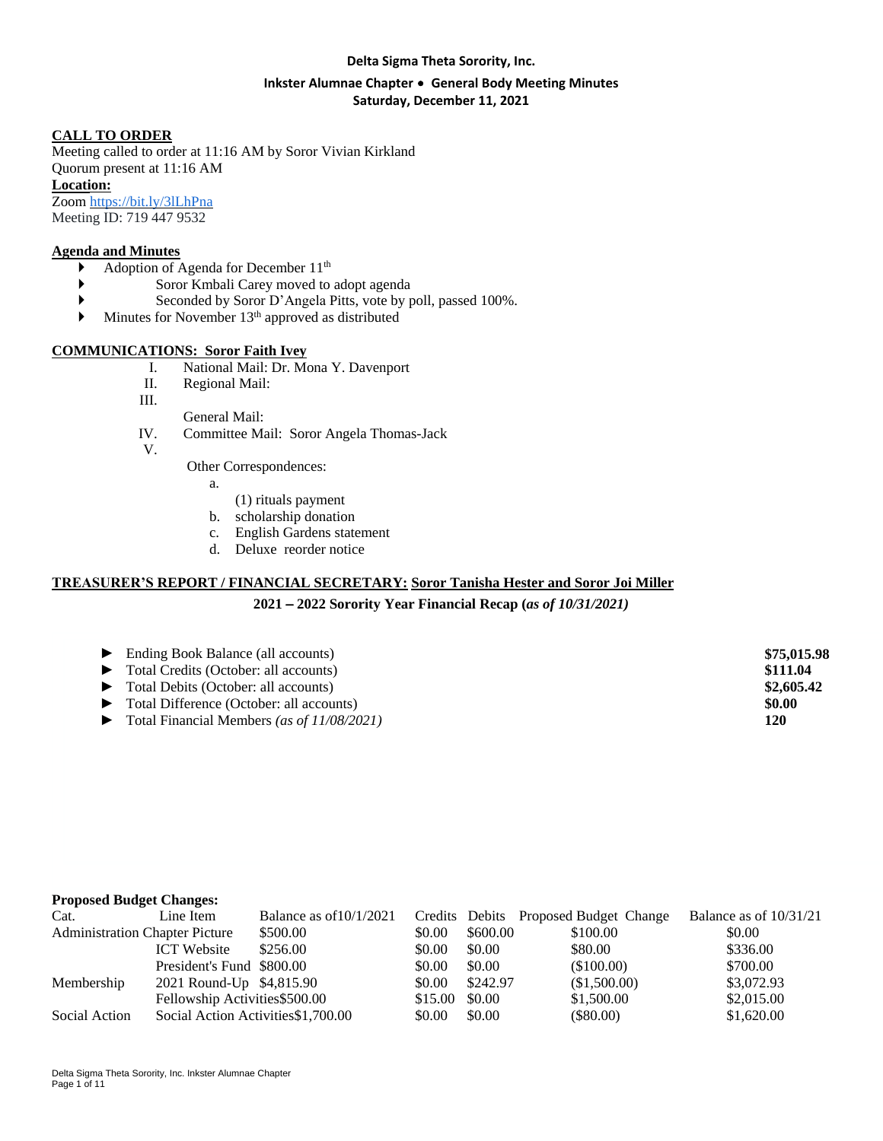#### **Delta Sigma Theta Sorority, Inc.**

### **Inkster Alumnae Chapter** ∙ **General Body Meeting Minutes Saturday, December 11, 2021**

#### **CALL TO ORDER**

Meeting called to order at 11:16 AM by Soror Vivian Kirkland Quorum present at 11:16 AM

**Location:**

Zoom <https://bit.ly/3lLhPna> Meeting ID: 719 447 9532

#### **Agenda and Minutes**

- Adoption of Agenda for December  $11<sup>th</sup>$
- Soror Kmbali Carey moved to adopt agenda
- Seconded by Soror D'Angela Pitts, vote by poll, passed 100%.
- $\blacktriangleright$  Minutes for November 13<sup>th</sup> approved as distributed

#### **COMMUNICATIONS: Soror Faith Ivey**

- I. National Mail: Dr. Mona Y. Davenport
- II. Regional Mail:
- III.
	- General Mail:
- IV. Committee Mail: Soror Angela Thomas-Jack
- V.

Other Correspondences:

a.

- (1) rituals payment
- b. scholarship donation
- c. English Gardens statement
- d. Deluxe reorder notice

### **TREASURER'S REPORT / FINANCIAL SECRETARY: Soror Tanisha Hester and Soror Joi Miller**

#### **2021** – **2022 Sorority Year Financial Recap (***as of 10/31/2021)*

| $\blacktriangleright$ Ending Book Balance (all accounts)    | \$75,015.98 |
|-------------------------------------------------------------|-------------|
| $\blacktriangleright$ Total Credits (October: all accounts) | \$111.04    |
| • Total Debits (October: all accounts)                      | \$2,605.42  |
| • Total Difference (October: all accounts)                  | \$0.00      |
| $\triangleright$ Total Financial Members (as of 11/08/2021) | 120         |

#### **Proposed Budget Changes:**

| Cat.                                  | Line Item                           | Balance as $of 10/1/2021$ |         |          | Credits Debits Proposed Budget Change | Balance as of $10/31/21$ |
|---------------------------------------|-------------------------------------|---------------------------|---------|----------|---------------------------------------|--------------------------|
| <b>Administration Chapter Picture</b> |                                     | \$500.00                  | \$0.00  | \$600.00 | \$100.00                              | \$0.00                   |
|                                       | <b>ICT</b> Website                  | \$256.00                  | \$0.00  | \$0.00   | \$80.00                               | \$336.00                 |
|                                       | President's Fund \$800.00           |                           | \$0.00  | \$0.00   | (\$100.00)                            | \$700.00                 |
| Membership                            | 2021 Round-Up \$4,815.90            |                           | \$0.00  | \$242.97 | (\$1,500.00)                          | \$3,072.93               |
|                                       | Fellowship Activities \$500.00      |                           | \$15.00 | \$0.00   | \$1,500.00                            | \$2,015.00               |
| Social Action                         | Social Action Activities \$1,700.00 |                           | \$0.00  | \$0.00   | $(\$80.00)$                           | \$1,620.00               |
|                                       |                                     |                           |         |          |                                       |                          |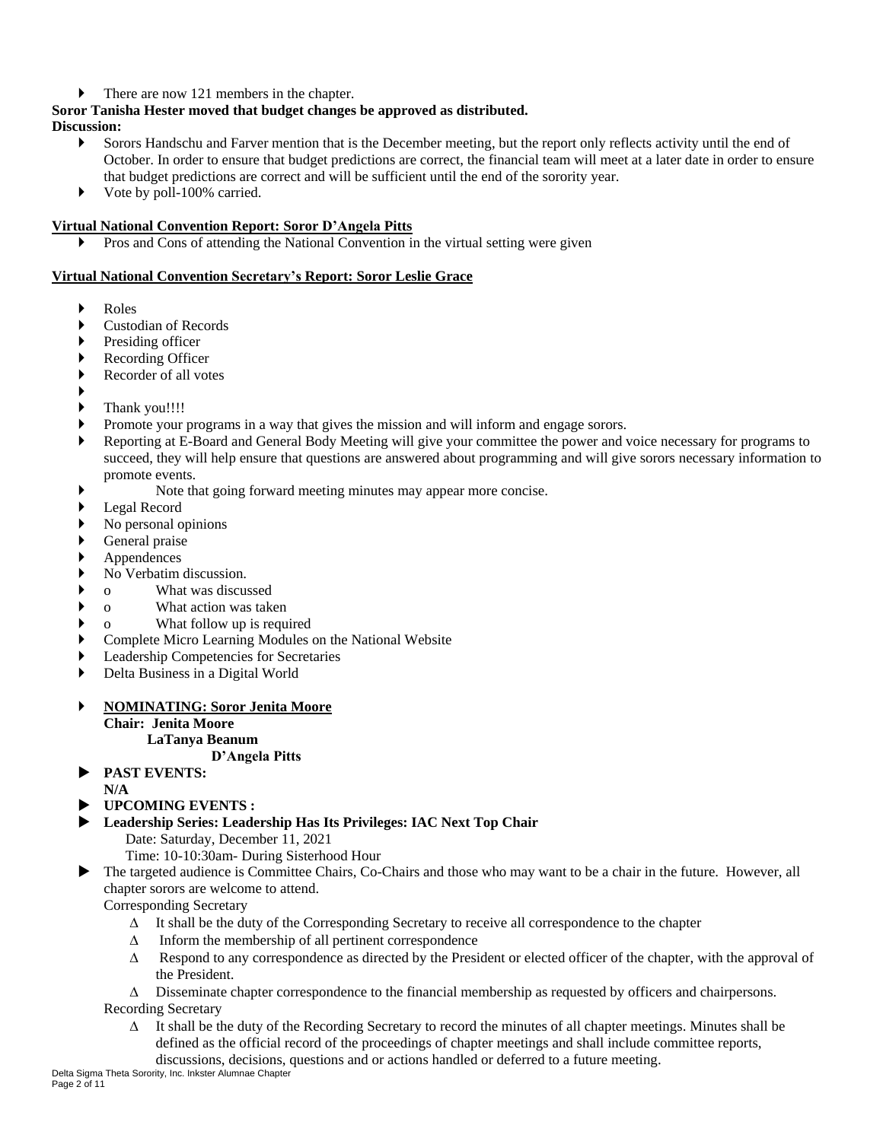## There are now 121 members in the chapter.

## **Soror Tanisha Hester moved that budget changes be approved as distributed.**

**Discussion:**

- Sorors Handschu and Farver mention that is the December meeting, but the report only reflects activity until the end of October. In order to ensure that budget predictions are correct, the financial team will meet at a later date in order to ensure that budget predictions are correct and will be sufficient until the end of the sorority year.
- ▶ Vote by poll-100% carried.

## **Virtual National Convention Report: Soror D'Angela Pitts**

Pros and Cons of attending the National Convention in the virtual setting were given

### **Virtual National Convention Secretary's Report: Soror Leslie Grace**

- Roles
- Custodian of Records
- Presiding officer
- Recording Officer
- Recorder of all votes
- ▶
- Thank you!!!!
- Promote your programs in a way that gives the mission and will inform and engage sorors.
- Reporting at E-Board and General Body Meeting will give your committee the power and voice necessary for programs to succeed, they will help ensure that questions are answered about programming and will give sorors necessary information to promote events.
- Note that going forward meeting minutes may appear more concise.
- Legal Record
- No personal opinions
- General praise
- Appendences
- No Verbatim discussion.
- o What was discussed
- o What action was taken
- o What follow up is required
- Complete Micro Learning Modules on the National Website
- Leadership Competencies for Secretaries
- Delta Business in a Digital World

### **NOMINATING: Soror Jenita Moore**

**Chair: Jenita Moore**

#### **LaTanya Beanum D'Angela Pitts**

**PAST EVENTS:**

**N/A**

- **UPCOMING EVENTS :**
- **Leadership Series: Leadership Has Its Privileges: IAC Next Top Chair**

Date: Saturday, December 11, 2021

Time: 10-10:30am- During Sisterhood Hour

 The targeted audience is Committee Chairs, Co-Chairs and those who may want to be a chair in the future. However, all chapter sorors are welcome to attend.

Corresponding Secretary

- $\Delta$  It shall be the duty of the Corresponding Secretary to receive all correspondence to the chapter
- $\Delta$  Inform the membership of all pertinent correspondence
- $\Delta$  Respond to any correspondence as directed by the President or elected officer of the chapter, with the approval of the President.

 $\Delta$  Disseminate chapter correspondence to the financial membership as requested by officers and chairpersons. Recording Secretary

 $\Delta$  It shall be the duty of the Recording Secretary to record the minutes of all chapter meetings. Minutes shall be defined as the official record of the proceedings of chapter meetings and shall include committee reports, discussions, decisions, questions and or actions handled or deferred to a future meeting.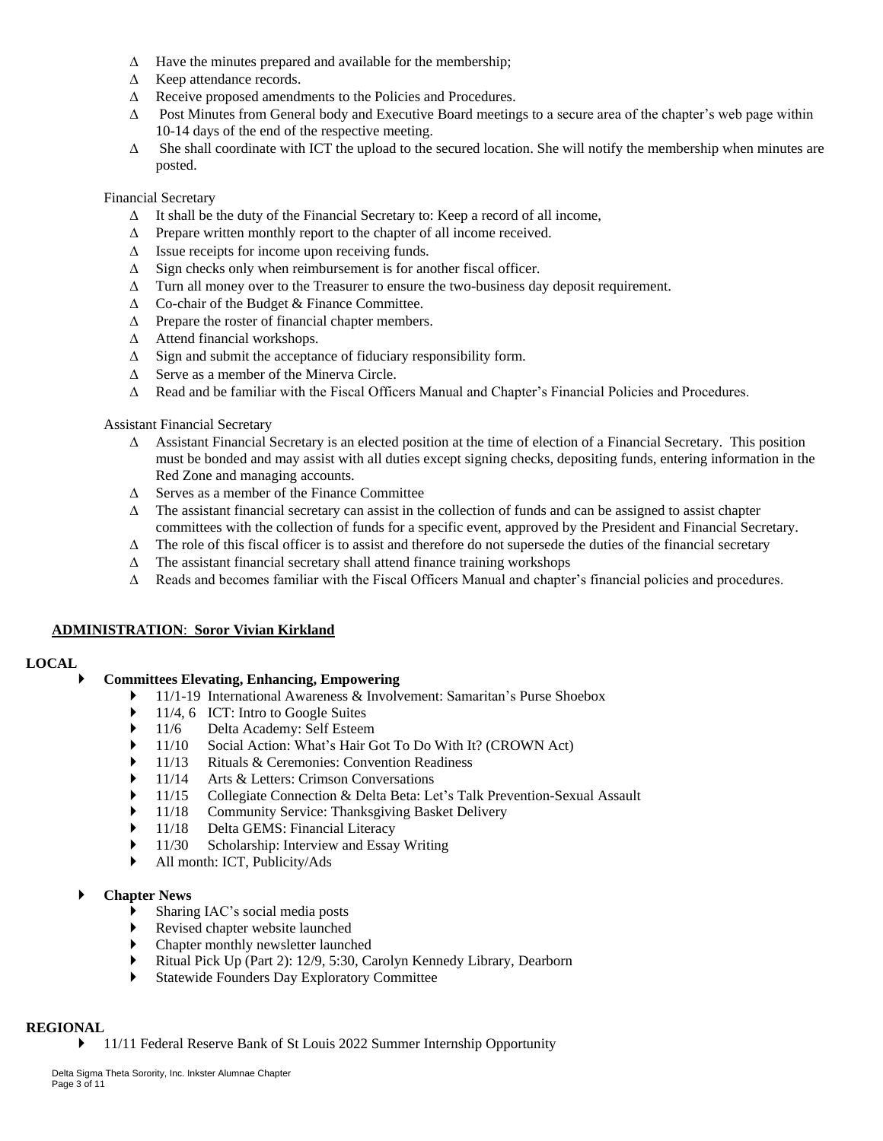- $\Delta$  Have the minutes prepared and available for the membership;
- $\triangle$  Keep attendance records.
- $\Delta$  Receive proposed amendments to the Policies and Procedures.
- $\Delta$  Post Minutes from General body and Executive Board meetings to a secure area of the chapter's web page within 10-14 days of the end of the respective meeting.
- $\Delta$  She shall coordinate with ICT the upload to the secured location. She will notify the membership when minutes are posted.

### Financial Secretary

- $\Delta$  It shall be the duty of the Financial Secretary to: Keep a record of all income,
- $\Delta$  Prepare written monthly report to the chapter of all income received.
- $\Delta$  Issue receipts for income upon receiving funds.
- $\Delta$  Sign checks only when reimbursement is for another fiscal officer.
- $\Delta$  Turn all money over to the Treasurer to ensure the two-business day deposit requirement.
- $\triangle$  Co-chair of the Budget & Finance Committee.
- $\Delta$  Prepare the roster of financial chapter members.
- $\Delta$  Attend financial workshops.
- $\Delta$  Sign and submit the acceptance of fiduciary responsibility form.
- $\Delta$  Serve as a member of the Minerva Circle.
- $\Delta$  Read and be familiar with the Fiscal Officers Manual and Chapter's Financial Policies and Procedures.

Assistant Financial Secretary

- $\Delta$  Assistant Financial Secretary is an elected position at the time of election of a Financial Secretary. This position must be bonded and may assist with all duties except signing checks, depositing funds, entering information in the Red Zone and managing accounts.
- $\Delta$  Serves as a member of the Finance Committee
- $\Delta$  The assistant financial secretary can assist in the collection of funds and can be assigned to assist chapter committees with the collection of funds for a specific event, approved by the President and Financial Secretary.
- $\Delta$  The role of this fiscal officer is to assist and therefore do not supersede the duties of the financial secretary
- $\Delta$  The assistant financial secretary shall attend finance training workshops
- $\Delta$  Reads and becomes familiar with the Fiscal Officers Manual and chapter's financial policies and procedures.

# **ADMINISTRATION**: **Soror Vivian Kirkland**

### **LOCAL**

# **Committees Elevating, Enhancing, Empowering**

- 11/1-19 International Awareness & Involvement: Samaritan's Purse Shoebox
- ▶ 11/4, 6 ICT: Intro to Google Suites
- ▶ 11/6 Delta Academy: Self Esteem
- ◆ 11/10 Social Action: What's Hair Got To Do With It? (CROWN Act)<br>▶ 11/13 Rituals & Ceremonies: Convention Readiness
- 11/13 Rituals & Ceremonies: Convention Readiness
- ▶ 11/14 Arts & Letters: Crimson Conversations
- 11/15 Collegiate Connection & Delta Beta: Let's Talk Prevention-Sexual Assault
- ▶ 11/18 Community Service: Thanksgiving Basket Delivery<br>▶ 11/18 Delta GEMS: Financial Literacy
- ▶ 11/18 Delta GEMS: Financial Literacy
- ▶ 11/30 Scholarship: Interview and Essay Writing
- All month: ICT, Publicity/Ads

# **Chapter News**

- Sharing IAC's social media posts
- Revised chapter website launched
- Chapter monthly newsletter launched
- Ritual Pick Up (Part 2): 12/9, 5:30, Carolyn Kennedy Library, Dearborn
- Statewide Founders Day Exploratory Committee

### **REGIONAL**

• 11/11 Federal Reserve Bank of St Louis 2022 Summer Internship Opportunity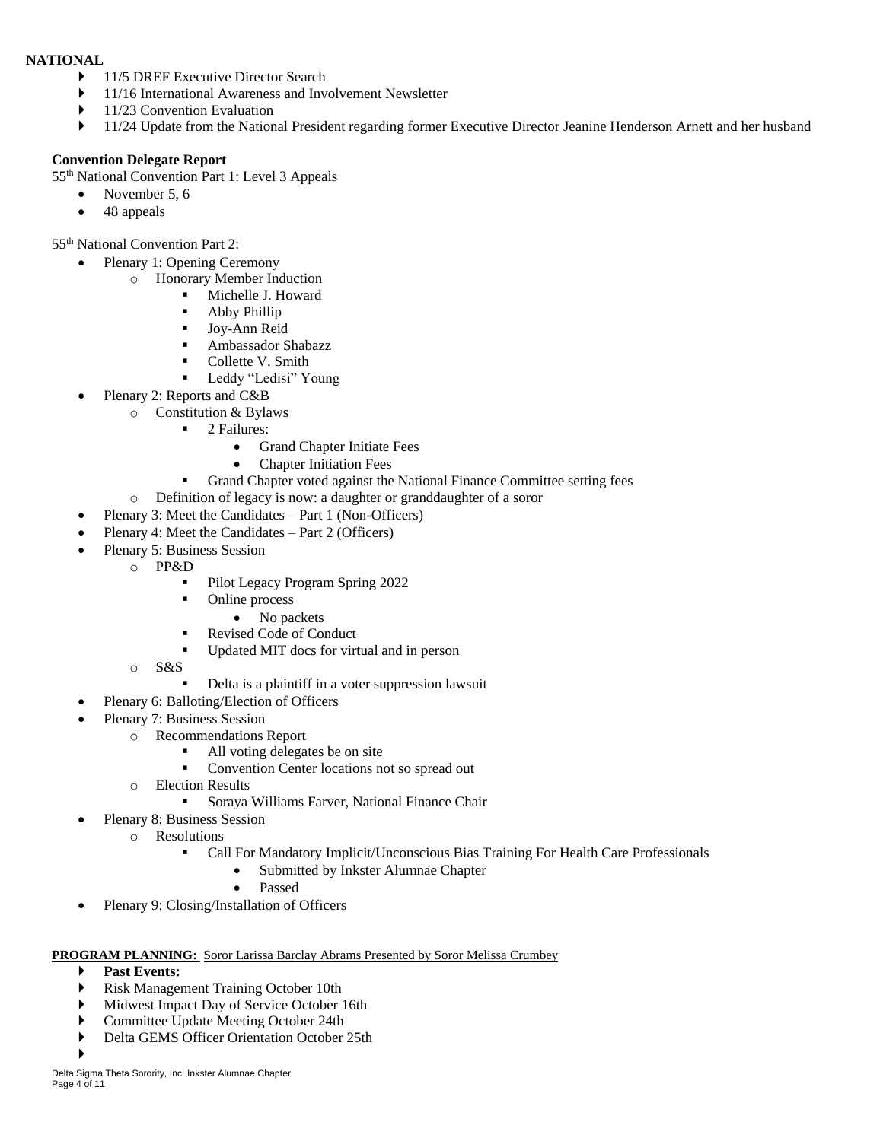#### **NATIONAL**

- 11/5 DREF Executive Director Search
- ▶ 11/16 International Awareness and Involvement Newsletter
- ▶ 11/23 Convention Evaluation
- ▶ 11/24 Update from the National President regarding former Executive Director Jeanine Henderson Arnett and her husband

### **Convention Delegate Report**

55th National Convention Part 1: Level 3 Appeals

- November 5, 6
- 48 appeals

55th National Convention Part 2:

- Plenary 1: Opening Ceremony
	- o Honorary Member Induction
		- Michelle J. Howard
		- **Abby Phillip**
		- **Joy-Ann Reid**
		- **Ambassador Shabazz**
		- Collette V. Smith
		- **Leddy "Ledisi" Young**
- Plenary 2: Reports and C&B
	- o Constitution & Bylaws
		- 2 Failures:
			- Grand Chapter Initiate Fees
			- Chapter Initiation Fees
		- Grand Chapter voted against the National Finance Committee setting fees
	- o Definition of legacy is now: a daughter or granddaughter of a soror
- Plenary 3: Meet the Candidates Part 1 (Non-Officers)
- Plenary 4: Meet the Candidates Part 2 (Officers)
- Plenary 5: Business Session
	- o PP&D
		- Pilot Legacy Program Spring 2022
		- Online process
			- No packets
		- Revised Code of Conduct
		- Updated MIT docs for virtual and in person
	- o S&S
		- Delta is a plaintiff in a voter suppression lawsuit
- Plenary 6: Balloting/Election of Officers
- Plenary 7: Business Session
	- o Recommendations Report
		- All voting delegates be on site
		- Convention Center locations not so spread out
	- o Election Results
		- **Soraya Williams Farver, National Finance Chair**
- Plenary 8: Business Session
	- o Resolutions
		- Call For Mandatory Implicit/Unconscious Bias Training For Health Care Professionals
			- Submitted by Inkster Alumnae Chapter
			- Passed
- Plenary 9: Closing/Installation of Officers

#### **PROGRAM PLANNING:** Soror Larissa Barclay Abrams Presented by Soror Melissa Crumbey

- **Past Events:**
- Risk Management Training October 10th
- Midwest Impact Day of Service October 16th
- Committee Update Meeting October 24th
- Delta GEMS Officer Orientation October 25th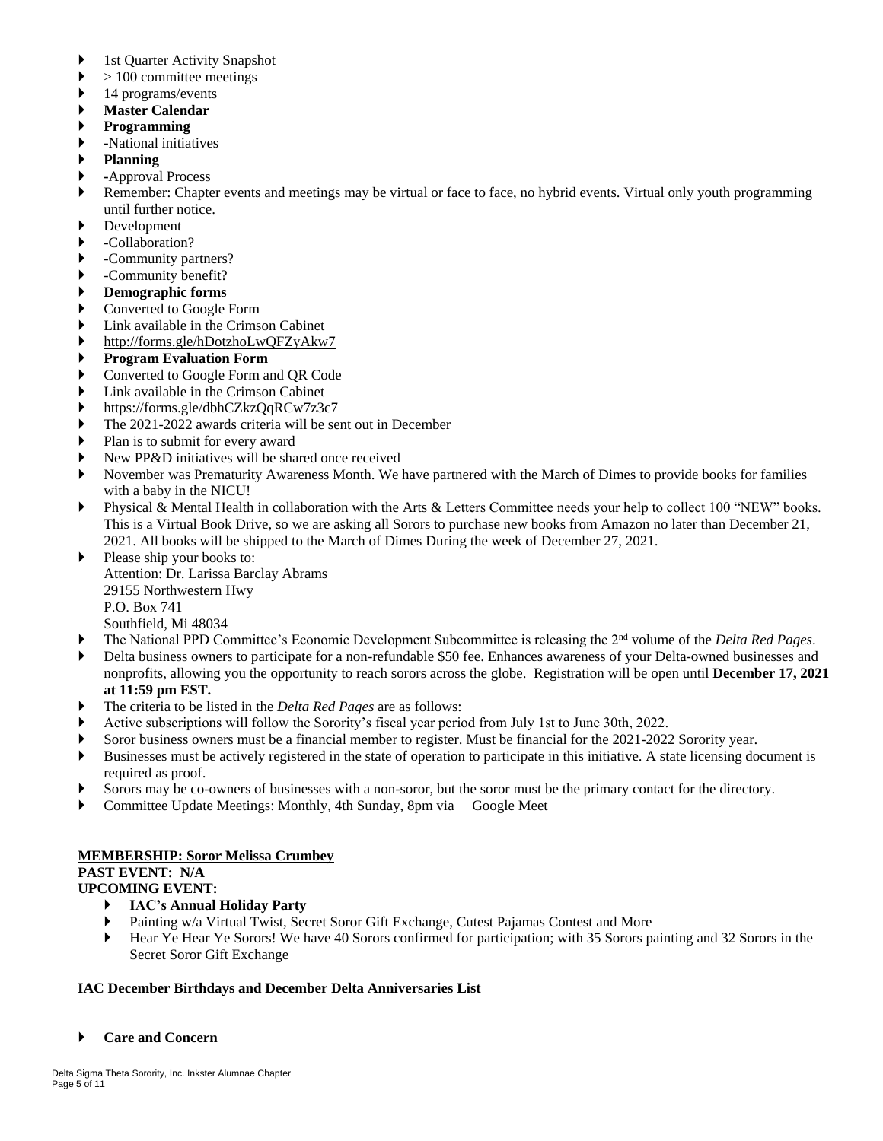- ▶ 1st Quarter Activity Snapshot
- $\triangleright$  > 100 committee meetings
- 14 programs/events
- **Master Calendar**
- **Programming**
- **-**National initiatives
- **Planning**
- **-**Approval Process
- Remember: Chapter events and meetings may be virtual or face to face, no hybrid events. Virtual only youth programming until further notice.
- Development
- -Collaboration?
- -Community partners?
- -Community benefit?
- **Demographic forms**
- Converted to Google Form
- Link available in the Crimson Cabinet
- <http://forms.gle/hDotzhoLwQFZyAkw7>
- **Program Evaluation Form**
- Converted to Google Form and QR Code
- Link available in the Crimson Cabinet
- <https://forms.gle/dbhCZkzQqRCw7z3c7>
- The 2021-2022 awards criteria will be sent out in December
- Plan is to submit for every award
- New PP&D initiatives will be shared once received
- November was Prematurity Awareness Month. We have partnered with the March of Dimes to provide books for families with a baby in the NICU!
- Physical & Mental Health in collaboration with the Arts & Letters Committee needs your help to collect 100 "NEW" books. This is a Virtual Book Drive, so we are asking all Sorors to purchase new books from Amazon no later than December 21, 2021. All books will be shipped to the March of Dimes During the week of December 27, 2021.

Please ship your books to: Attention: Dr. Larissa Barclay Abrams 29155 Northwestern Hwy P.O. Box 741 Southfield, Mi 48034

- The National PPD Committee's Economic Development Subcommittee is releasing the 2nd volume of the *Delta Red Pages*.
- Delta business owners to participate for a non-refundable \$50 fee. Enhances awareness of your Delta-owned businesses and nonprofits, allowing you the opportunity to reach sorors across the globe. Registration will be open until **December 17, 2021 at 11:59 pm EST.**
- The criteria to be listed in the *Delta Red Pages* are as follows:
- Active subscriptions will follow the Sorority's fiscal year period from July 1st to June 30th, 2022.
- Soror business owners must be a financial member to register. Must be financial for the 2021-2022 Sorority year.
- Businesses must be actively registered in the state of operation to participate in this initiative. A state licensing document is required as proof.
- Sorors may be co-owners of businesses with a non-soror, but the soror must be the primary contact for the directory.
- Committee Update Meetings: Monthly, 4th Sunday, 8pm via Google Meet

### **MEMBERSHIP: Soror Melissa Crumbey**

# **PAST EVENT: N/A**

- **UPCOMING EVENT:**
	- **IAC's Annual Holiday Party**
	- Painting w/a Virtual Twist, Secret Soror Gift Exchange, Cutest Pajamas Contest and More
	- Hear Ye Hear Ye Sorors! We have 40 Sorors confirmed for participation; with 35 Sorors painting and 32 Sorors in the Secret Soror Gift Exchange

# **IAC December Birthdays and December Delta Anniversaries List**

**Care and Concern**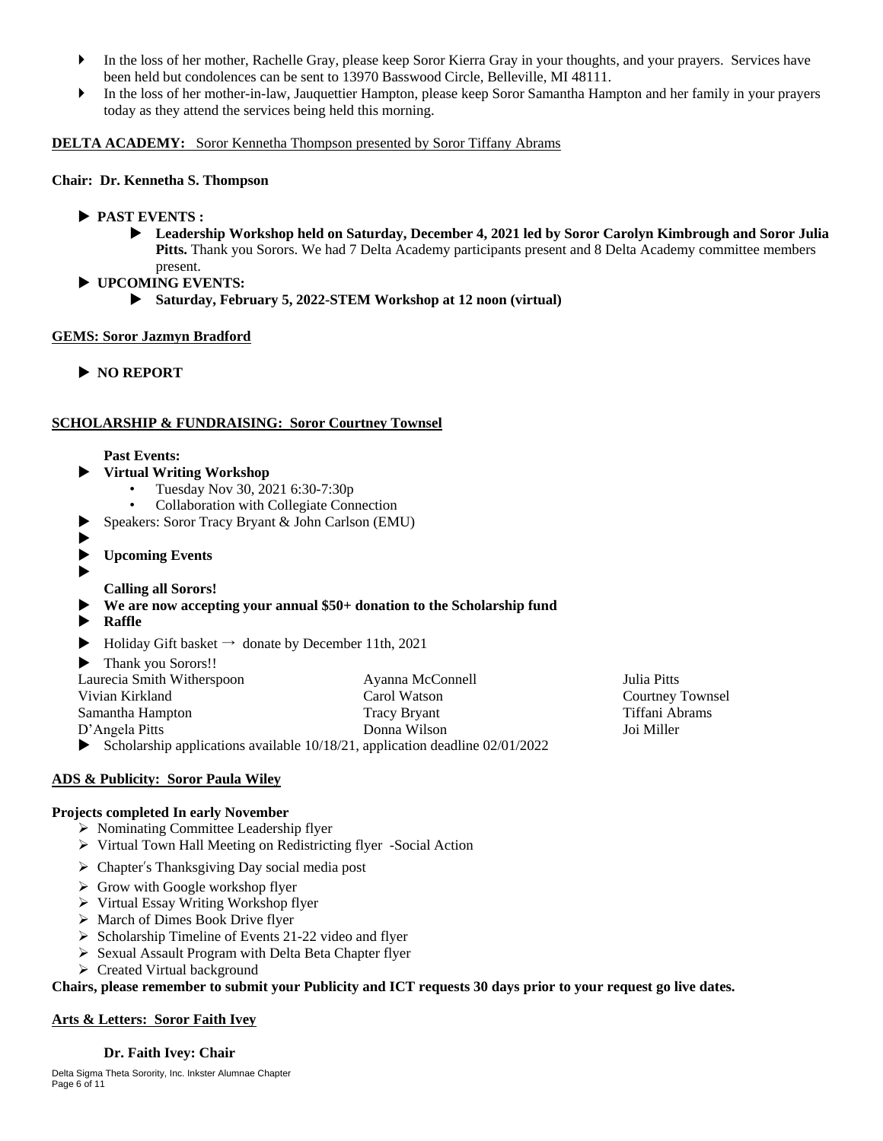- In the loss of her mother, Rachelle Gray, please keep Soror Kierra Gray in your thoughts, and your prayers. Services have been held but condolences can be sent to 13970 Basswood Circle, Belleville, MI 48111.
- In the loss of her mother-in-law, Jauquettier Hampton, please keep Soror Samantha Hampton and her family in your prayers today as they attend the services being held this morning.

#### **DELTA ACADEMY:** Soror Kennetha Thompson presented by Soror Tiffany Abrams

#### **Chair: Dr. Kennetha S. Thompson**

- **PAST EVENTS :**
	- **Leadership Workshop held on Saturday, December 4, 2021 led by Soror Carolyn Kimbrough and Soror Julia Pitts.** Thank you Sorors. We had 7 Delta Academy participants present and 8 Delta Academy committee members present.
- **UPCOMING EVENTS:**
	- **Saturday, February 5, 2022-STEM Workshop at 12 noon (virtual)**

### **GEMS: Soror Jazmyn Bradford**

**NO REPORT**

### **SCHOLARSHIP & FUNDRAISING: Soror Courtney Townsel**

#### **Past Events:**

- **Virtual Writing Workshop**
	- Tuesday Nov 30, 2021 6:30-7:30p
	- Collaboration with Collegiate Connection
- Speakers: Soror Tracy Bryant & John Carlson (EMU)
- ▶
- **Upcoming Events**
- $\blacktriangleright$

# **Calling all Sorors!**

### **We are now accepting your annual \$50+ donation to the Scholarship fund**

- **Raffle**
- $\blacktriangleright$  Holiday Gift basket  $\rightarrow$  donate by December 11th, 2021
- ▶ Thank you Sorors!!

| Laurecia Smith Witherspoon | Ayanna McConnell                                                                  | Julia Pitts             |
|----------------------------|-----------------------------------------------------------------------------------|-------------------------|
| Vivian Kirkland            | Carol Watson                                                                      | <b>Courtney Townsel</b> |
| Samantha Hampton           | <b>Tracy Bryant</b>                                                               | Tiffani Abrams          |
| D'Angela Pitts             | Donna Wilson                                                                      | Joi Miller              |
|                            | Scholarship applications available $10/18/21$ , application deadline $02/01/2022$ |                         |

### **ADS & Publicity: Soror Paula Wiley**

### **Projects completed In early November**

- ▶ Nominating Committee Leadership flyer
- Virtual Town Hall Meeting on Redistricting flyer -Social Action
- $\triangleright$  Chapter's Thanksgiving Day social media post
- $\triangleright$  Grow with Google workshop flyer
- Virtual Essay Writing Workshop flyer
- $\triangleright$  March of Dimes Book Drive flyer
- $\triangleright$  Scholarship Timeline of Events 21-22 video and flyer
- $\triangleright$  Sexual Assault Program with Delta Beta Chapter flyer
- Created Virtual background

Chairs, please remember to submit your Publicity and ICT requests 30 days prior to your request go live dates.

### **Arts & Letters: Soror Faith Ivey**

# **Dr. Faith Ivey: Chair**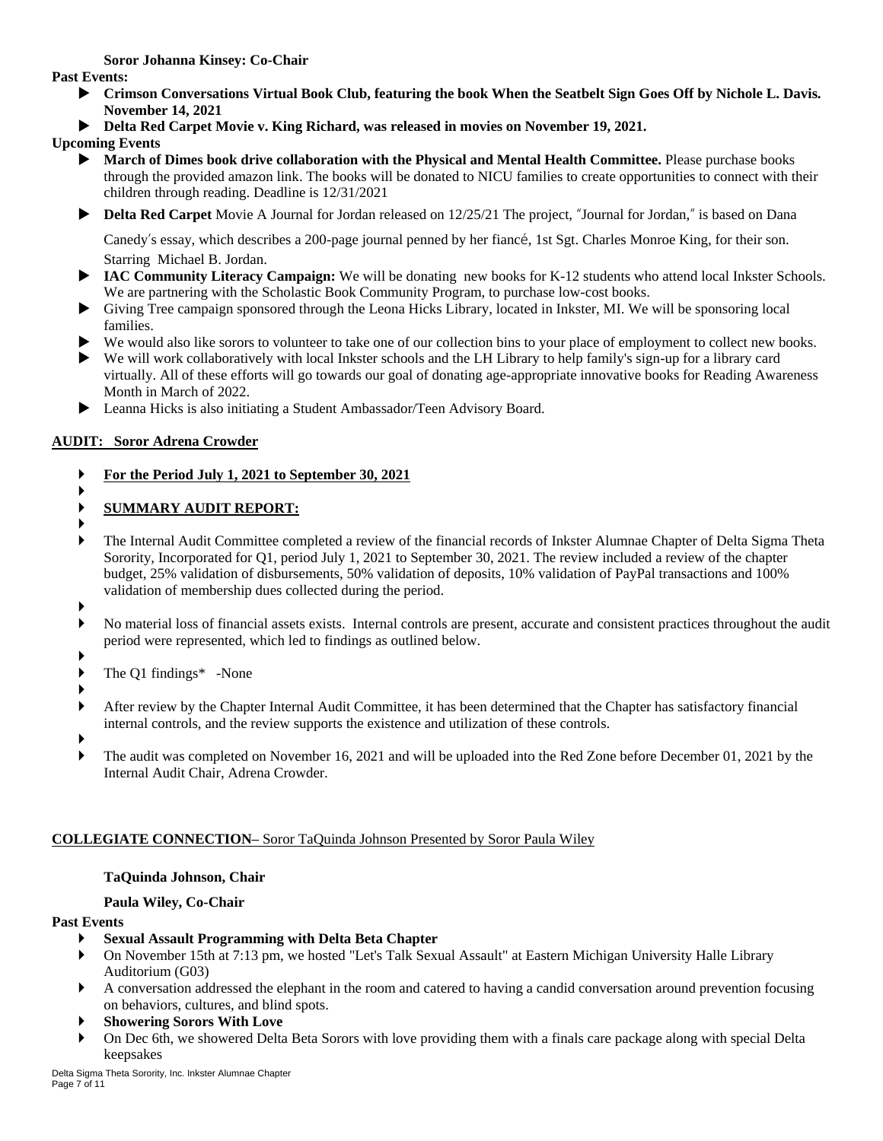**Soror Johanna Kinsey: Co-Chair**

**Past Events:** 

- **Crimson Conversations Virtual Book Club, featuring the book When the Seatbelt Sign Goes Off by Nichole L. Davis. November 14, 2021**
- **Delta Red Carpet Movie v. King Richard, was released in movies on November 19, 2021.**

**Upcoming Events**

- **March of Dimes book drive collaboration with the Physical and Mental Health Committee.** Please purchase books through the provided amazon link. The books will be donated to NICU families to create opportunities to connect with their children through reading. Deadline is 12/31/2021
- **Delta Red Carpet** Movie A Journal for Jordan released on 12/25/21 The project, "Journal for Jordan," is based on Dana

Canedy's essay, which describes a 200-page journal penned by her fiancé, 1st Sgt. Charles Monroe King, for their son. Starring Michael B. Jordan.

- ▶ IAC Community Literacy Campaign: We will be donating new books for K-12 students who attend local Inkster Schools. We are partnering with the Scholastic Book Community Program, to purchase low-cost books.
- Giving Tree campaign sponsored through the Leona Hicks Library, located in Inkster, MI. We will be sponsoring local families.
- We would also like sorors to volunteer to take one of our collection bins to your place of employment to collect new books.
- We will work collaboratively with local Inkster schools and the LH Library to help family's sign-up for a library card virtually. All of these efforts will go towards our goal of donating age-appropriate innovative books for Reading Awareness Month in March of 2022.
- Leanna Hicks is also initiating a Student Ambassador/Teen Advisory Board.

# **AUDIT: Soror Adrena Crowder**

- **For the Period July 1, 2021 to September 30, 2021**
- ▶ **SUMMARY AUDIT REPORT:**
- ▶
- The Internal Audit Committee completed a review of the financial records of Inkster Alumnae Chapter of Delta Sigma Theta Sorority, Incorporated for Q1, period July 1, 2021 to September 30, 2021. The review included a review of the chapter budget, 25% validation of disbursements, 50% validation of deposits, 10% validation of PayPal transactions and 100% validation of membership dues collected during the period.
- ▶
- No material loss of financial assets exists. Internal controls are present, accurate and consistent practices throughout the audit period were represented, which led to findings as outlined below.
- ▶
- The Q1 findings\* -None
- ▶
- After review by the Chapter Internal Audit Committee, it has been determined that the Chapter has satisfactory financial internal controls, and the review supports the existence and utilization of these controls.
- ▶
- The audit was completed on November 16, 2021 and will be uploaded into the Red Zone before December 01, 2021 by the Internal Audit Chair, Adrena Crowder.

# **COLLEGIATE CONNECTION–** Soror TaQuinda Johnson Presented by Soror Paula Wiley

# **TaQuinda Johnson, Chair**

# **Paula Wiley, Co-Chair**

# **Past Events**

- **Sexual Assault Programming with Delta Beta Chapter**
- On November 15th at 7:13 pm, we hosted "Let's Talk Sexual Assault" at Eastern Michigan University Halle Library Auditorium (G03)
- A conversation addressed the elephant in the room and catered to having a candid conversation around prevention focusing on behaviors, cultures, and blind spots.
- **Showering Sorors With Love**
- On Dec 6th, we showered Delta Beta Sorors with love providing them with a finals care package along with special Delta keepsakes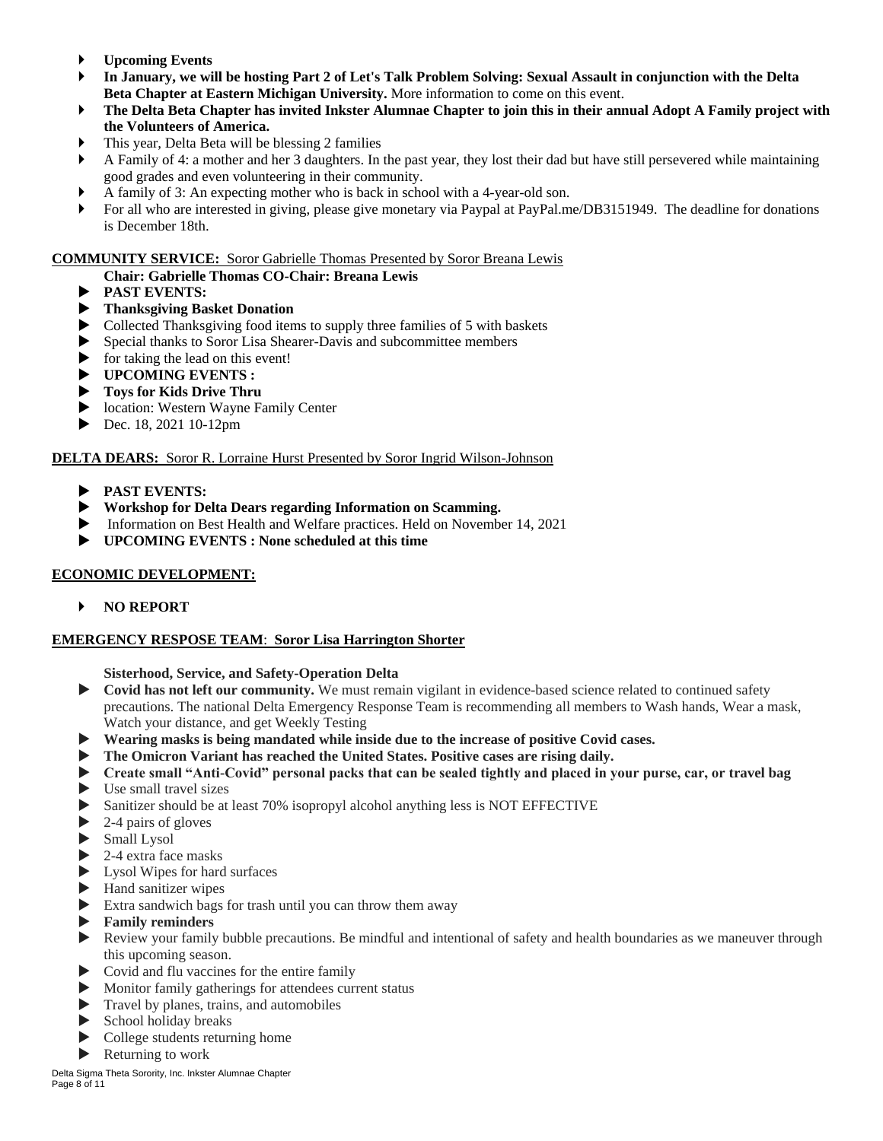- **Upcoming Events**
- In January, we will be hosting Part 2 of Let's Talk Problem Solving: Sexual Assault in conjunction with the Delta **Beta Chapter at Eastern Michigan University.** More information to come on this event.
- The Delta Beta Chapter has invited Inkster Alumnae Chapter to join this in their annual Adopt A Family project with **the Volunteers of America.**
- This year, Delta Beta will be blessing 2 families
- A Family of 4: a mother and her 3 daughters. In the past year, they lost their dad but have still persevered while maintaining good grades and even volunteering in their community.
- A family of 3: An expecting mother who is back in school with a 4-year-old son.
- For all who are interested in giving, please give monetary via Paypal at PayPal.me/DB3151949. The deadline for donations is December 18th.

### **COMMUNITY SERVICE:** Soror Gabrielle Thomas Presented by Soror Breana Lewis

- **Chair: Gabrielle Thomas CO-Chair: Breana Lewis**
- **PAST EVENTS:**
- **Thanksgiving Basket Donation**
- Collected Thanksgiving food items to supply three families of 5 with baskets
- Special thanks to Soror Lisa Shearer-Davis and subcommittee members
- $\triangleright$  for taking the lead on this event!
- **UPCOMING EVENTS :**
- **Toys for Kids Drive Thru**
- **Location: Western Wayne Family Center**
- $\triangleright$  Dec. 18, 2021 10-12pm

## **DELTA DEARS:** Soror R. Lorraine Hurst Presented by Soror Ingrid Wilson-Johnson

- **PAST EVENTS:**
- **Workshop for Delta Dears regarding Information on Scamming.**
- Information on Best Health and Welfare practices. Held on November 14, 2021
- **UPCOMING EVENTS : None scheduled at this time**

## **ECONOMIC DEVELOPMENT:**

### **NO REPORT**

### **EMERGENCY RESPOSE TEAM**: **Soror Lisa Harrington Shorter**

### **Sisterhood, Service, and Safety-Operation Delta**

- **Covid has not left our community.** We must remain vigilant in evidence-based science related to continued safety precautions. The national Delta Emergency Response Team is recommending all members to Wash hands, Wear a mask, Watch your distance, and get Weekly Testing
- **Wearing masks is being mandated while inside due to the increase of positive Covid cases.**
- **The Omicron Variant has reached the United States. Positive cases are rising daily.**
- **Create small "Anti-Covid" personal packs that can be sealed tightly and placed in your purse, car, or travel bag**
- $\blacktriangleright$  Use small travel sizes
- Sanitizer should be at least 70% isopropyl alcohol anything less is NOT EFFECTIVE
- $\triangleright$  2-4 pairs of gloves
- Small Lysol
- 2-4 extra face masks
- Lysol Wipes for hard surfaces
- Hand sanitizer wipes
- Extra sandwich bags for trash until you can throw them away
- **Family reminders**
- Review your family bubble precautions. Be mindful and intentional of safety and health boundaries as we maneuver through this upcoming season.
- Covid and flu vaccines for the entire family
- Monitor family gatherings for attendees current status
- Travel by planes, trains, and automobiles
- $\blacktriangleright$  School holiday breaks
- College students returning home
- Returning to work

Delta Sigma Theta Sorority, Inc. Inkster Alumnae Chapter Page 8 of 11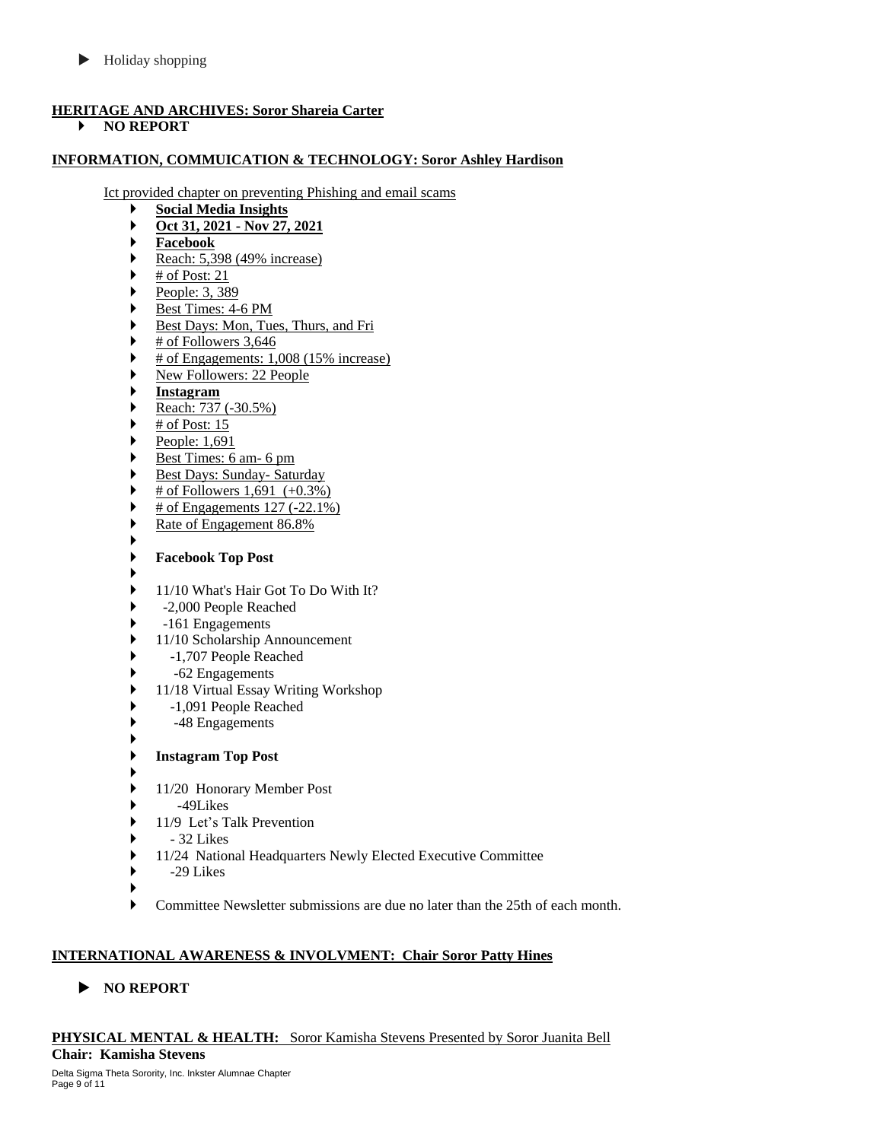$\blacktriangleright$  Holiday shopping

# **HERITAGE AND ARCHIVES: Soror Shareia Carter**

**NO REPORT**

# **INFORMATION, COMMUICATION & TECHNOLOGY: Soror Ashley Hardison**

Ict provided chapter on preventing Phishing and email scams

- **Social Media Insights**
- **Oct 31, 2021 - Nov 27, 2021**
- **Facebook**
- Reach:  $5,398$  (49% increase)
- $\blacktriangleright$  # of Post: 21
- People:  $3, 389$
- Best Times: 4-6 PM
- Best Days: Mon, Tues, Thurs, and Fri
- $\blacktriangleright$  # of Followers 3,646
- # of Engagements: 1,008 (15% increase)
- New Followers: 22 People
- **Instagram**
- Reach:  $737 (-30.5\%)$
- $\blacktriangleright$  # of Post: 15
- People:  $1,691$
- Best Times: 6 am- 6 pm
- Best Days: Sunday- Saturday
- # of Followers 1,691 (+0.3%)
- $\blacktriangleright$  # of Engagements 127 (-22.1%)
- Rate of Engagement 86.8% ▶

# **Facebook Top Post**

- ▶ ▶ 11/10 What's Hair Got To Do With It?
- ▶ -2,000 People Reached
- ▶ -161 Engagements
- 11/10 Scholarship Announcement
- -1,707 People Reached
- -62 Engagements
- 11/18 Virtual Essay Writing Workshop
- -1,091 People Reached
- -48 Engagements ▶
- **Instagram Top Post**
- ▶
- ▶ 11/20 Honorary Member Post
- $\blacktriangleright$  -49Likes
- 11/9 Let's Talk Prevention
- 32 Likes
- 11/24 National Headquarters Newly Elected Executive Committee
- $\rightarrow$  -29 Likes
- ▶
- Committee Newsletter submissions are due no later than the 25th of each month.

# **INTERNATIONAL AWARENESS & INVOLVMENT: Chair Soror Patty Hines**

**NO REPORT**

**PHYSICAL MENTAL & HEALTH:** Soror Kamisha Stevens Presented by Soror Juanita Bell **Chair: Kamisha Stevens**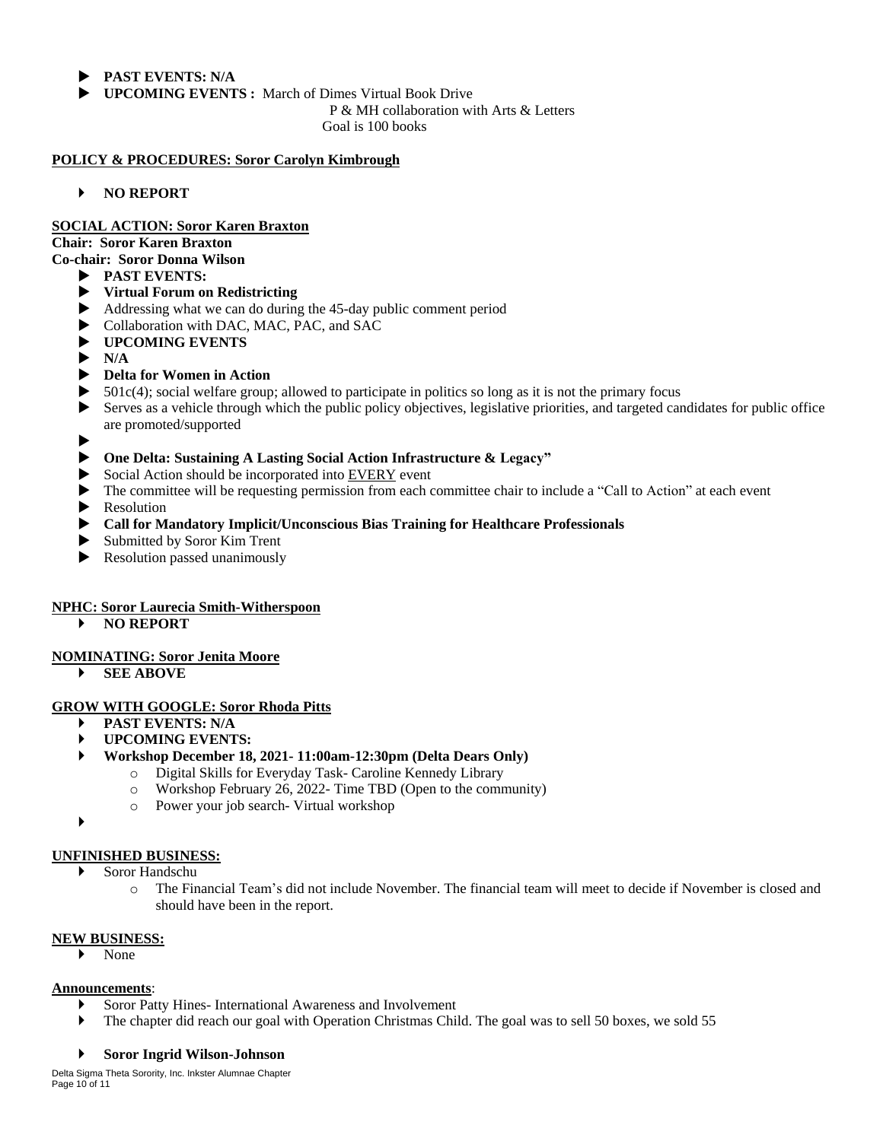- **PAST EVENTS: N/A**
- **UPCOMING EVENTS :** March of Dimes Virtual Book Drive

P & MH collaboration with Arts & Letters

Goal is 100 books

### **POLICY & PROCEDURES: Soror Carolyn Kimbrough**

**NO REPORT**

### **SOCIAL ACTION: Soror Karen Braxton**

**Chair: Soror Karen Braxton**

- **Co-chair: Soror Donna Wilson**
	- **PAST EVENTS:**
		- **Virtual Forum on Redistricting**
		- Addressing what we can do during the 45-day public comment period
		- Collaboration with DAC, MAC, PAC, and SAC
		- **UPCOMING EVENTS**
		- $\blacktriangleright$  N/A

## **Delta for Women in Action**

- 501c(4); social welfare group; allowed to participate in politics so long as it is not the primary focus
- Serves as a vehicle through which the public policy objectives, legislative priorities, and targeted candidates for public office are promoted/supported
- $\blacktriangleright$

### **One Delta: Sustaining A Lasting Social Action Infrastructure & Legacy"**

- Social Action should be incorporated into EVERY event
- The committee will be requesting permission from each committee chair to include a "Call to Action" at each event
- **Resolution**
- **Call for Mandatory Implicit/Unconscious Bias Training for Healthcare Professionals**
- Submitted by Soror Kim Trent
- Resolution passed unanimously

### **NPHC: Soror Laurecia Smith-Witherspoon**

**NO REPORT**

### **NOMINATING: Soror Jenita Moore**

**SEE ABOVE**

### **GROW WITH GOOGLE: Soror Rhoda Pitts**

- **PAST EVENTS: N/A**
- **UPCOMING EVENTS:**
- **Workshop December 18, 2021- 11:00am-12:30pm (Delta Dears Only)**
	- o Digital Skills for Everyday Task- Caroline Kennedy Library
	- o Workshop February 26, 2022- Time TBD (Open to the community)
	- o Power your job search- Virtual workshop

 $\blacktriangleright$ 

### **UNFINISHED BUSINESS:**

- Soror Handschu
	- o The Financial Team's did not include November. The financial team will meet to decide if November is closed and should have been in the report.

### **NEW BUSINESS:**

None

### **Announcements**:

- Soror Patty Hines- International Awareness and Involvement
- The chapter did reach our goal with Operation Christmas Child. The goal was to sell 50 boxes, we sold 55

### **Soror Ingrid Wilson-Johnson**

Delta Sigma Theta Sorority, Inc. Inkster Alumnae Chapter Page 10 of 11